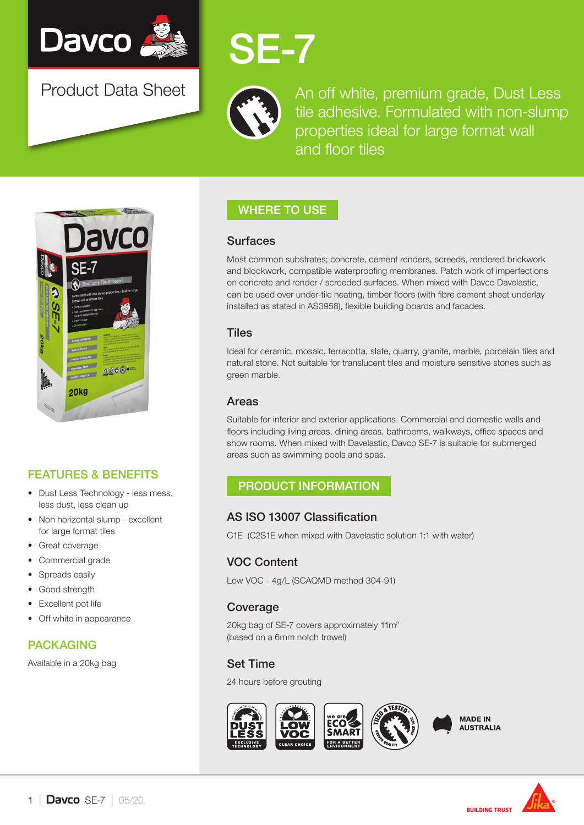

Product Data Sheet

# SE-7



An off white, premium grade, Dust Less tile adhesive. Formulated with non-slump properties ideal for large format wall and floor tiles



## FEATURES & BENEFITS

- Dust Less Technology less mess, less dust, less clean up
- Non horizontal slump excellent for large format tiles
- Great coverage
- Commercial grade
- Spreads easily
- Good strength
- **Excellent pot life**
- Off white in appearance

## PACKAGING

Available in a 20kg bag

## WHERE TO USE

#### **Surfaces**

Most common substrates; concrete, cement renders, screeds, rendered brickwork and blockwork, compatible waterproofing membranes. Patch work of imperfections on concrete and render / screeded surfaces. When mixed with Davco Davelastic, can be used over under-tile heating, timber floors (with fibre cement sheet underlay installed as stated in AS3958), flexible building boards and facades.

#### **Tiles**

Ideal for ceramic, mosaic, terracotta, slate, quarry, granite, marble, porcelain tiles and natural stone. Not suitable for translucent tiles and moisture sensitive stones such as green marble.

#### Areas

Suitable for interior and exterior applications. Commercial and domestic walls and floors including living areas, dining areas, bathrooms, walkways, office spaces and show rooms. When mixed with Davelastic, Davco SE-7 is suitable for submerged areas such as swimming pools and spas.

## PRODUCT INFORMATION

### AS ISO 13007 Classification

C1E (C2S1E when mixed with Davelastic solution 1:1 with water)

## VOC Content

Low VOC - 4g/L (SCAQMD method 304-91)

### Coverage

20kg bag of SE-7 covers approximately 11m<sup>2</sup> (based on a 6mm notch trowel)

## Set Time

24 hours before grouting





**BUILDING TRUST**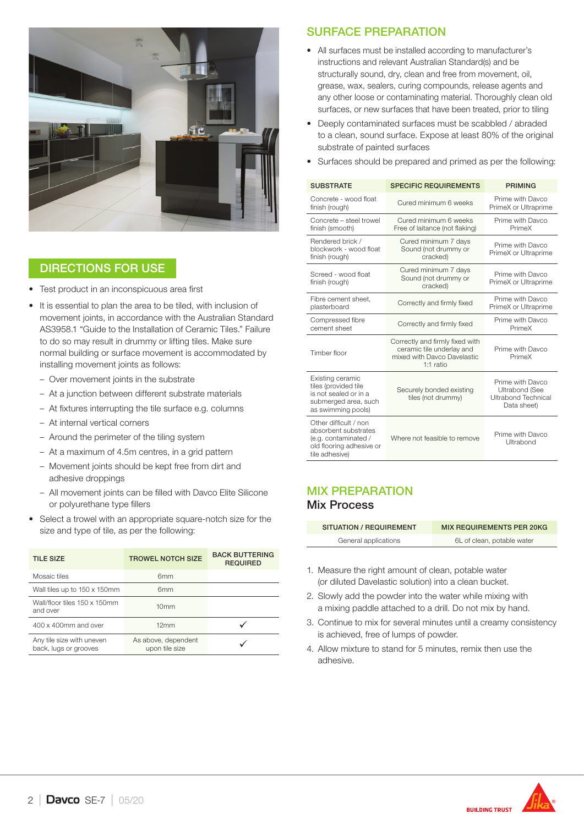

### DIRECTIONS FOR USE

- Test product in an inconspicuous area first
- It is essential to plan the area to be tiled, with inclusion of movement joints, in accordance with the Australian Standard AS3958.1 "Guide to the Installation of Ceramic Tiles." Failure to do so may result in drummy or lifting tiles. Make sure normal building or surface movement is accommodated by installing movement joints as follows:
	- Over movement joints in the substrate
	- At a junction between different substrate materials
	- At fixtures interrupting the tile surface e.g. columns
	- At internal vertical corners
	- Around the perimeter of the tiling system
	- At a maximum of 4.5m centres, in a grid pattern
	- Movement joints should be kept free from dirt and adhesive droppings
	- All movement joints can be filled with Davco Elite Silicone or polyurethane type fillers
- Select a trowel with an appropriate square-notch size for the size and type of tile, as per the following:

| <b>TILE SIZE</b>                                   | <b>TROWEL NOTCH SIZE</b>              | <b>BACK BUTTERING</b><br><b>REQUIRED</b> |
|----------------------------------------------------|---------------------------------------|------------------------------------------|
| Mosaic tiles                                       | 6 <sub>mm</sub>                       |                                          |
| Wall tiles up to 150 x 150mm                       | 6mm                                   |                                          |
| Wall/floor tiles 150 x 150mm<br>and over           | 10 <sub>mm</sub>                      |                                          |
| 400 x 400mm and over                               | 12mm                                  |                                          |
| Any tile size with uneven<br>back, lugs or grooves | As above, dependent<br>upon tile size |                                          |

#### SURFACE PREPARATION

- All surfaces must be installed according to manufacturer's instructions and relevant Australian Standard(s) and be structurally sound, dry, clean and free from movement, oil, grease, wax, sealers, curing compounds, release agents and any other loose or contaminating material. Thoroughly clean old surfaces, or new surfaces that have been treated, prior to tiling
- Deeply contaminated surfaces must be scabbled / abraded to a clean, sound surface. Expose at least 80% of the original substrate of painted surfaces
- Surfaces should be prepared and primed as per the following:

| <b>SUBSTRATE</b>                                                                                                    | <b>SPECIFIC REQUIREMENTS</b>                                                                               | <b>PRIMING</b>                                                                         |
|---------------------------------------------------------------------------------------------------------------------|------------------------------------------------------------------------------------------------------------|----------------------------------------------------------------------------------------|
| Concrete - wood float<br>finish (rough)                                                                             | Cured minimum 6 weeks                                                                                      | Prime with Davco<br>PrimeX or Ultraprime                                               |
| Concrete - steel trowel<br>finish (smooth)                                                                          | Cured minimum 6 weeks<br>Free of laitance (not flaking)                                                    | Prime with Davco<br>PrimeX                                                             |
| Rendered brick /<br>blockwork - wood float<br>finish (rough)                                                        | Cured minimum 7 days<br>Sound (not drummy or<br>cracked)                                                   | Prime with Davco<br>PrimeX or Ultraprime                                               |
| Screed - wood float<br>finish (rough)                                                                               | Cured minimum 7 days<br>Sound (not drummy or<br>cracked)                                                   | Prime with Davco<br>PrimeX or Ultraprime                                               |
| Fibre cement sheet,<br>plasterboard                                                                                 | Correctly and firmly fixed                                                                                 | Prime with Davco<br>PrimeX or Ultraprime                                               |
| Compressed fibre<br>cement sheet                                                                                    | Correctly and firmly fixed                                                                                 | Prime with Davco<br>PrimeX                                                             |
| Timber floor                                                                                                        | Correctly and firmly fixed with<br>ceramic tile underlay and<br>mixed with Davco Davelastic<br>$1:1$ ratio | Prime with Davco<br>PrimeX                                                             |
| Existing ceramic<br>tiles (provided tile<br>is not sealed or in a<br>submerged area, such<br>as swimming pools)     | Securely bonded existing<br>tiles (not drummy)                                                             | Prime with Davco<br><b>Ultrabond (See</b><br><b>Ultrabond Technical</b><br>Data sheet) |
| Other difficult / non<br>absorbent substrates<br>(e.g. contaminated /<br>old flooring adhesive or<br>tile adhesive) | Where not feasible to remove                                                                               | Prime with Davco<br>Ultrabond                                                          |

#### MIX PREPARATION Mix Process

| SITUATION / REQUIREMENT | <b>MIX REQUIREMENTS PER 20KG</b> |
|-------------------------|----------------------------------|
| General applications    | 6L of clean, potable water       |

- 1. Measure the right amount of clean, potable water (or diluted Davelastic solution) into a clean bucket.
- 2. Slowly add the powder into the water while mixing with a mixing paddle attached to a drill. Do not mix by hand.
- 3. Continue to mix for several minutes until a creamy consistency is achieved, free of lumps of powder.
- 4. Allow mixture to stand for 5 minutes, remix then use the adhesive.